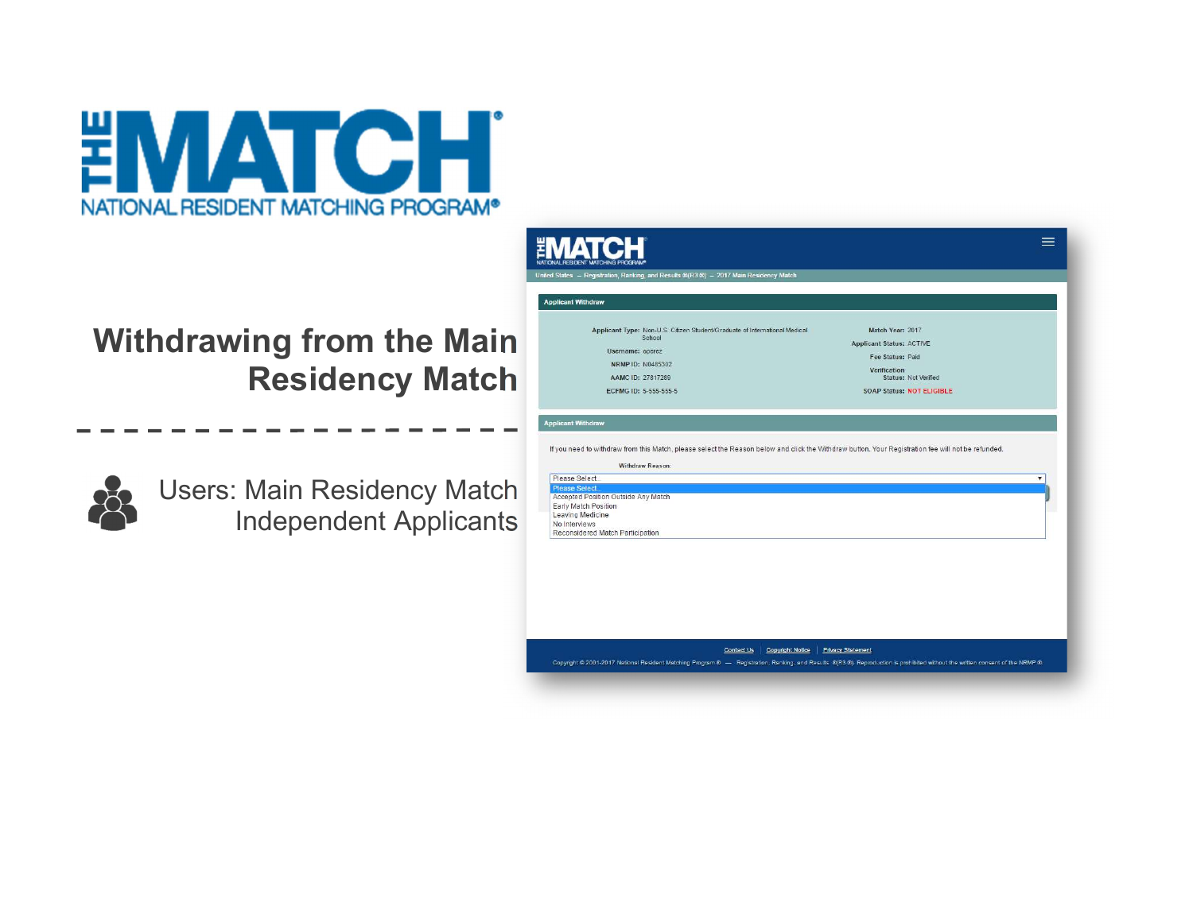

# Withdrawing from the Main Residency Match



Users: Main Residency Match Independent Applicants

| <b>Applicant Withdraw</b>                                                                                                                                                                                                                                 |                                                     |
|-----------------------------------------------------------------------------------------------------------------------------------------------------------------------------------------------------------------------------------------------------------|-----------------------------------------------------|
| Applicant Type: Non-U.S. Citizen Student/Graduate of International Medical<br>School                                                                                                                                                                      | Match Year: 2017<br><b>Applicant Status: ACTIVE</b> |
| Username: operez<br>NRMP ID: N0485302<br>AAMC ID: 27817289                                                                                                                                                                                                | Fee Status: Paid                                    |
|                                                                                                                                                                                                                                                           | Verification<br>Status: Not Verified                |
| ECFMG ID: 5-555-555-5                                                                                                                                                                                                                                     | <b>SOAP Status: NOT ELIGIBLE</b>                    |
| Withdraw Reason:                                                                                                                                                                                                                                          |                                                     |
| <b>Applicant Withdraw</b><br>If you need to withdraw from this Match, please select the Reason below and click the Withdraw button. Your Registration fee will not be refunded.<br>Please Select<br>Please Select.<br>Accepted Position Outside Any Match |                                                     |
| Early Match Position<br>Leaving Medicine<br>No Interviews                                                                                                                                                                                                 |                                                     |
| Reconsidered Match Participation                                                                                                                                                                                                                          |                                                     |
|                                                                                                                                                                                                                                                           |                                                     |
|                                                                                                                                                                                                                                                           |                                                     |
|                                                                                                                                                                                                                                                           |                                                     |
|                                                                                                                                                                                                                                                           |                                                     |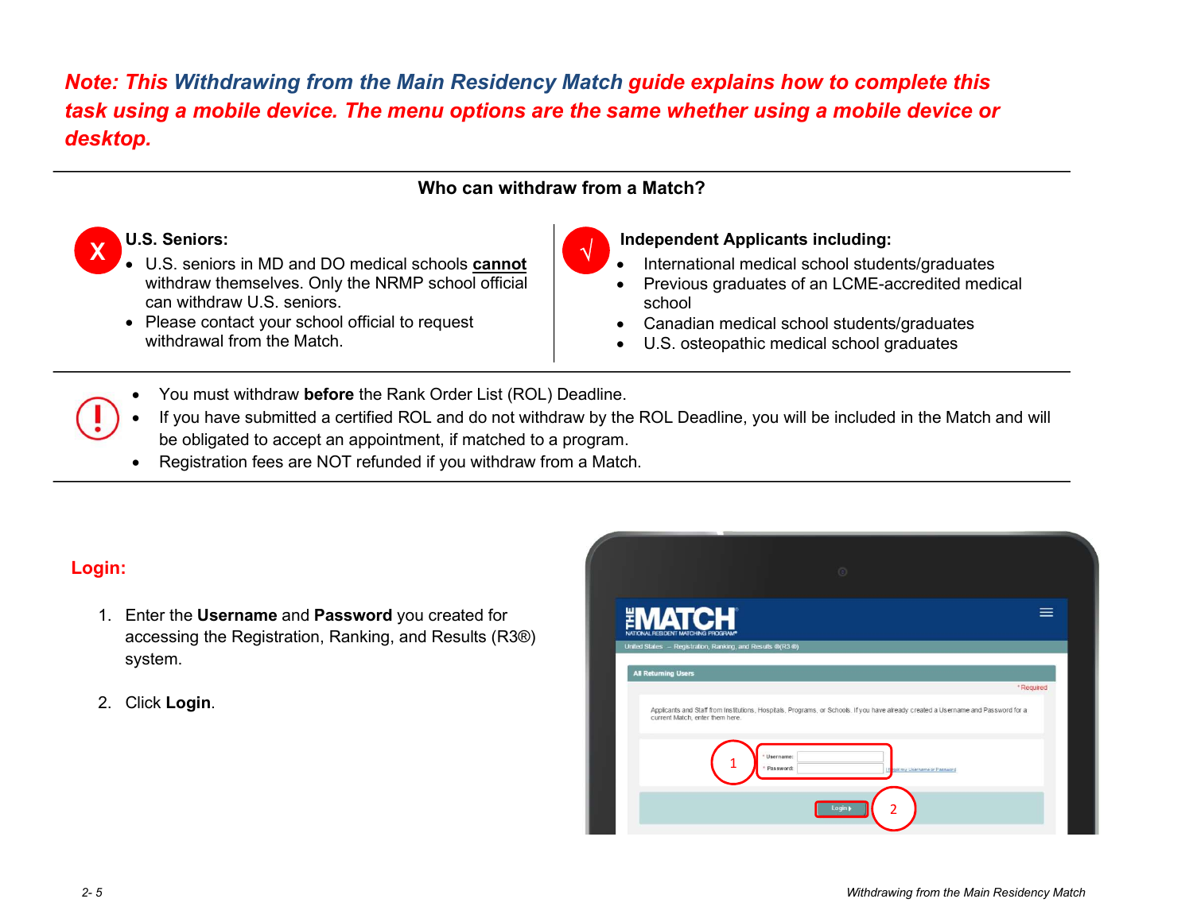## Note: This Withdrawing from the Main Residency Match guide explains how to complete this task using a mobile device. The menu options are the same whether using a mobile device or desktop.

#### Who can withdraw from a Match?



#### U.S. Seniors:

- X C.S. seniors.<br>
U.S. seniors in MD and DO medical schools **cannot** withdraw themselves. Only the NRMP school official can withdraw U.S. seniors.
	- Please contact your school official to request withdrawal from the Match



#### Independent Applicants including:

- International medical school students/graduates
- Previous graduates of an LCME-accredited medical school
- Canadian medical school students/graduates
- U.S. osteopathic medical school graduates
- You must withdraw before the Rank Order List (ROL) Deadline.
- If you have submitted a certified ROL and do not withdraw by the ROL Deadline, you will be included in the Match and will be obligated to accept an appointment, if matched to a program.
- Registration fees are NOT refunded if you withdraw from a Match.

### Login:

- 1. Enter the Username and Password you created for accessing the Registration, Ranking, and Results (R3®) system.
- 2. Click Login.

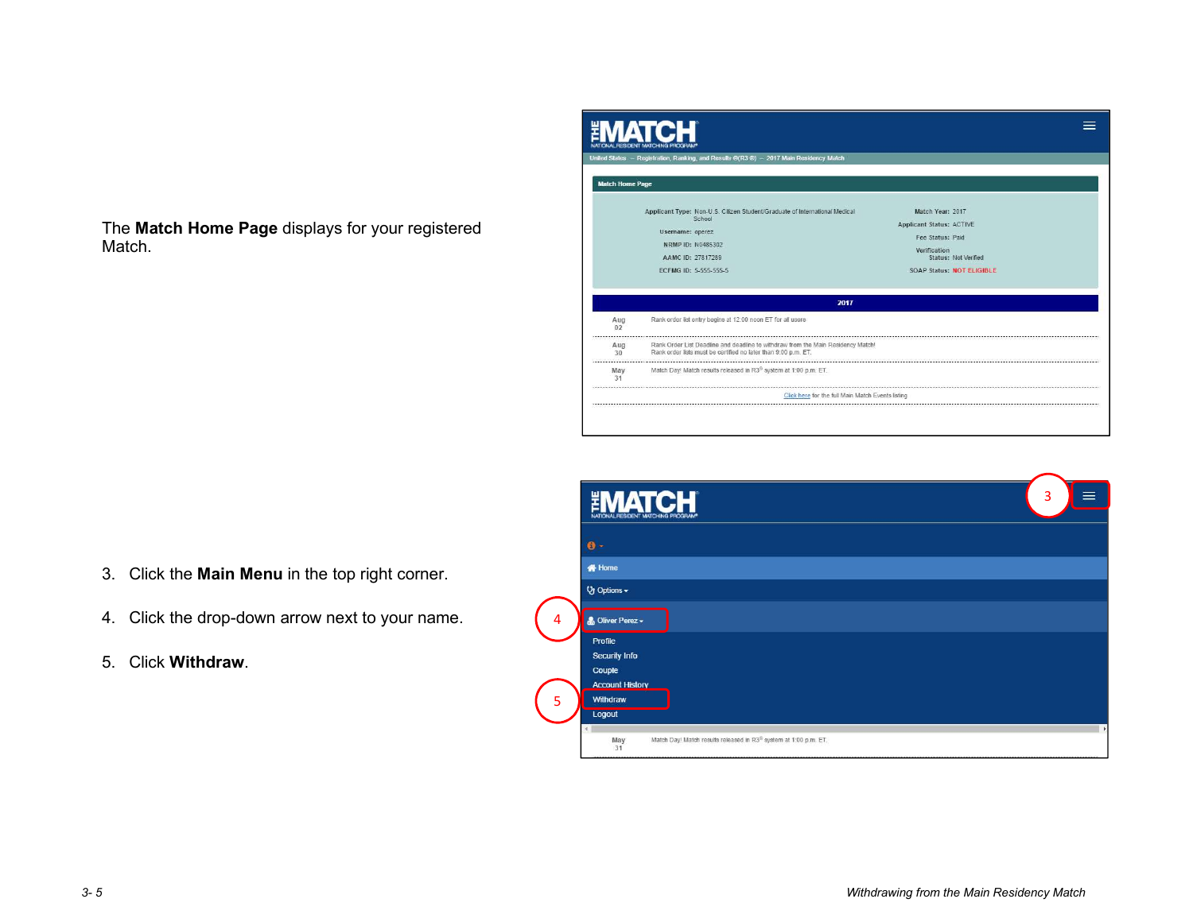The Match Home Page displays for your registered Match.



- 
- 
- 

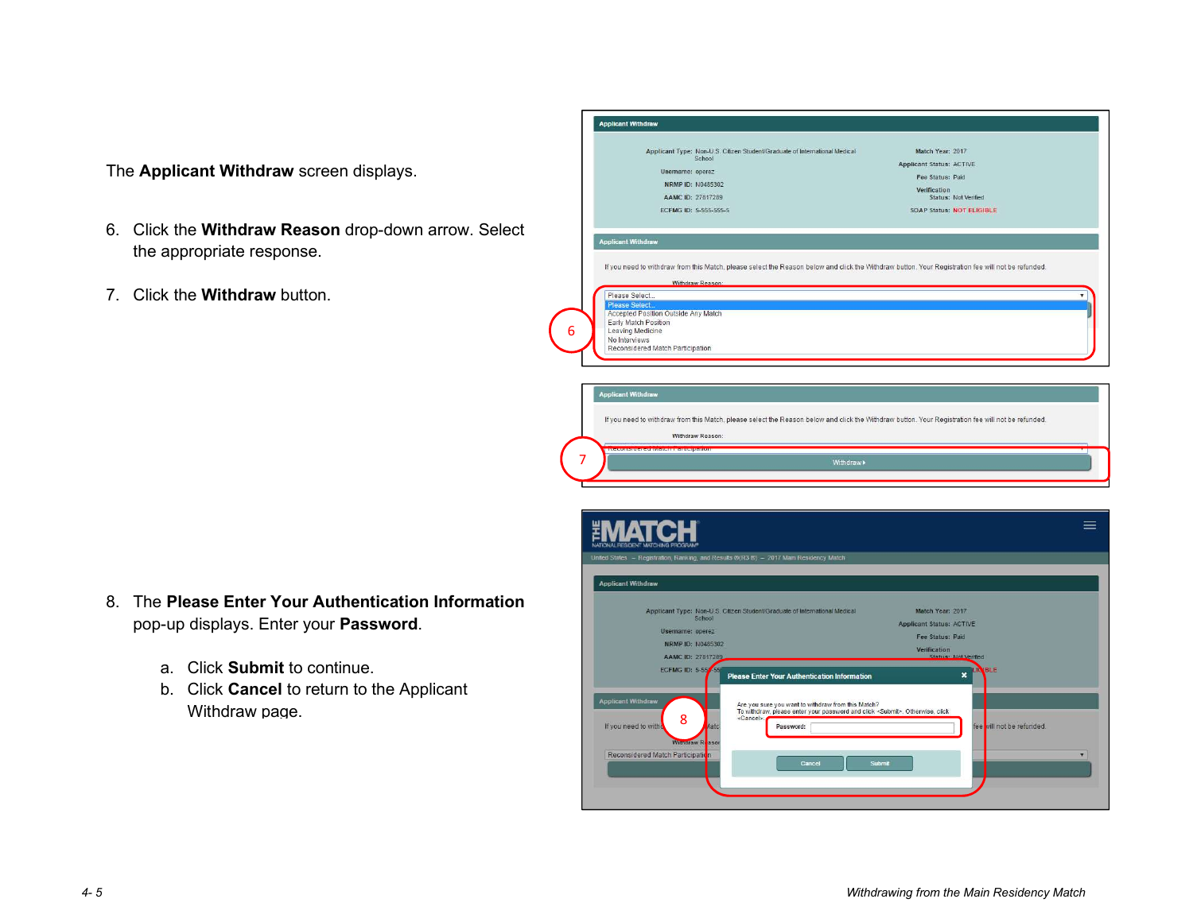- 2 the appropriate response. The Applicant Withdraw screen displays.<br>
6. Click the Withdraw Reason drop-down arrow. Select<br>
the appropriate response.<br>
7. Click the Withdraw button.<br>
6. Click the Withdraw button.
- 

|                                                                                                                                 | <b>Applicant Withdraw</b>                                                                                                                                                                                                                                                                                                                 |
|---------------------------------------------------------------------------------------------------------------------------------|-------------------------------------------------------------------------------------------------------------------------------------------------------------------------------------------------------------------------------------------------------------------------------------------------------------------------------------------|
| The Applicant Withdraw screen displays.                                                                                         | Applicant Type: Non-U.S. Citizen Student/Graduate of International Medical<br>Match Year: 2017<br>School<br><b>Applicant Status: ACTIVE</b><br>Username: operez<br>Fee Status: Paid<br><b>NRMP ID: N0485302</b><br>Verification<br>AAMC ID: 27817289<br>Status: Not Verified<br>ECFMG ID: 5-555-555-5<br><b>SOAP Status: NOT ELIGIBLE</b> |
| 6. Click the Withdraw Reason drop-down arrow. Select<br>the appropriate response.                                               | <b>Applicant Withdraw</b><br>If you need to withdraw from this Match, please select the Reason below and click the Withdraw button. Your Registration fee will not be refunded.                                                                                                                                                           |
| 7. Click the <b>Withdraw</b> button.                                                                                            | <b>Withdraw Reason</b><br>Please Select.<br>Please Select.<br>Accepted Position Outside Any Match<br>Early Match Position<br>6<br>Leaving Medicine<br>No Interviews<br>Reconsidered Match Participation                                                                                                                                   |
|                                                                                                                                 | <b>Applicant Withdraw</b><br>If you need to withdraw from this Match, please select the Reason below and click the Withdraw button. Your Registration fee will not be refunded.<br>Withdraw Reason:                                                                                                                                       |
|                                                                                                                                 | Withdraw »                                                                                                                                                                                                                                                                                                                                |
|                                                                                                                                 | 亖<br>United States - Registration, Ranking, and Results @(R3 @) - 2017 Main Residency Match                                                                                                                                                                                                                                               |
| 8. The Please Enter Your Authentication Information<br>pop-up displays. Enter your Password.<br>Click Submit to continue.<br>a. | <b>Applicant Withdraw</b><br>Applicant Type: Non-U.S. Citizen Student/Graduate of International Medical<br>Match Year: 2017<br>School<br><b>Applicant Status: ACTIVE</b><br>Username: operez<br>Fee Status: Paid<br>NRMP ID: N0485302<br>Verification<br>AAMC ID: 2781728<br>Status: Not Verified                                         |
| b. Click Cancel to return to the Applicant                                                                                      | <b>ECFMG ID: 5-55</b><br>$\boldsymbol{\mathsf{x}}$<br><b>Please Enter Your Authentication Information</b>                                                                                                                                                                                                                                 |

- -
	- Withdraw page.

| Click the <b>Withdraw</b> button.                                                                                                                                                         | Withdraw Reason:<br>Please Select<br>Please Select<br>Accepted Position Outside Any Match<br>Early Match Position<br>Leaving Medicine<br>6<br>No Interviews<br>Reconsidered Match Participation                                                                                                                                                                                                                                                                                                                                                                                                                                                                                                                                                                                                                                                                                                      |
|-------------------------------------------------------------------------------------------------------------------------------------------------------------------------------------------|------------------------------------------------------------------------------------------------------------------------------------------------------------------------------------------------------------------------------------------------------------------------------------------------------------------------------------------------------------------------------------------------------------------------------------------------------------------------------------------------------------------------------------------------------------------------------------------------------------------------------------------------------------------------------------------------------------------------------------------------------------------------------------------------------------------------------------------------------------------------------------------------------|
|                                                                                                                                                                                           | <b>Applicant Withdraw</b><br>If you need to withdraw from this Match, please select the Reason below and click the Withdraw button. Your Registration fee will not be refunded.<br>Withdraw Reason:<br>Withdraw >                                                                                                                                                                                                                                                                                                                                                                                                                                                                                                                                                                                                                                                                                    |
| The Please Enter Your Authentication Information<br>pop-up displays. Enter your Password.<br>a. Click Submit to continue.<br>b. Click Cancel to return to the Applicant<br>Withdraw page. | $\equiv$<br>United States - Registration, Ranking, and Results ®(R3 ®) - 2017 Main Residency Match<br><b>Applicant Withdraw</b><br>Applicant Type: Non-U.S. Citizen Student/Graduate of International Medical<br>Match Year: 2017<br>School<br><b>Applicant Status: ACTIVE</b><br>Username: operez<br>Fee Status: Paid<br>NRMP ID: N0485302<br>Verification<br>AAMC ID: 27817289<br>Status: Not Verified<br>ECFMG ID: 5-557-55<br>BI F<br>$\boldsymbol{\mathsf{x}}$<br><b>Please Enter Your Authentication Information</b><br><b>Applicant Withdraw</b><br>Are you sure you want to withdraw from this Match?<br>To withdraw, please enter your password and click <submit>. Otherwise, click<br/>8<br/><cancel>.<br/>If you need to with<br/>fee vill not be refunded<br/>Password:<br/><b>Witndraw R</b><br/>Reconsidered Match Participatio<br/><b>IV</b><br/>Submit<br/>Cancel</cancel></submit> |